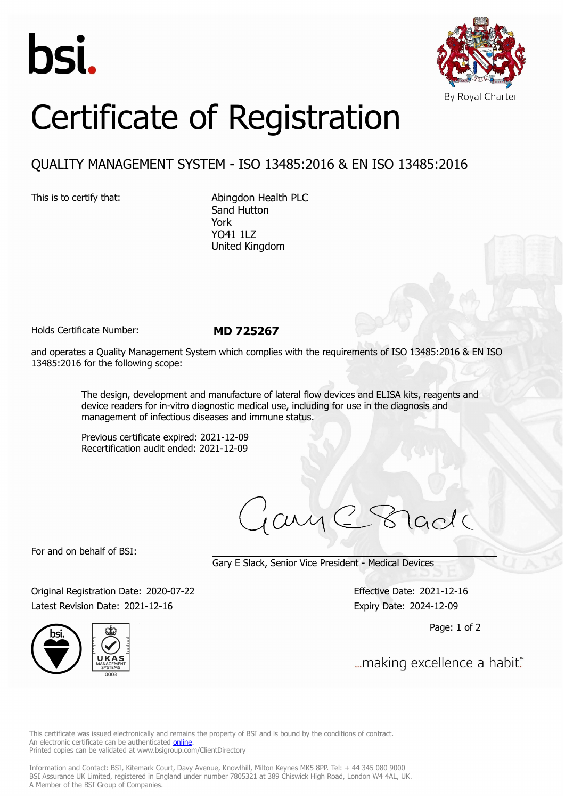



## Certificate of Registration

## QUALITY MANAGEMENT SYSTEM - ISO 13485:2016 & EN ISO 13485:2016

This is to certify that: Abingdon Health PLC Sand Hutton York YO41 1LZ United Kingdom

Holds Certificate Number: **MD 725267**

and operates a Quality Management System which complies with the requirements of ISO 13485:2016 & EN ISO 13485:2016 for the following scope:

> The design, development and manufacture of lateral flow devices and ELISA kits, reagents and device readers for in-vitro diagnostic medical use, including for use in the diagnosis and management of infectious diseases and immune status.

Previous certificate expired: 2021-12-09 Recertification audit ended: 2021-12-09

cui

For and on behalf of BSI:

Gary E Slack, Senior Vice President - Medical Devices

Original Registration Date: 2020-07-22 Effective Date: 2021-12-16 Latest Revision Date: 2021-12-16 Expiry Date: 2024-12-09

Page: 1 of 2

... making excellence a habit."

This certificate was issued electronically and remains the property of BSI and is bound by the conditions of contract. An electronic certificate can be authenticated **[online](https://pgplus.bsigroup.com/CertificateValidation/CertificateValidator.aspx?CertificateNumber=MD+725267&ReIssueDate=16%2f12%2f2021&Template=uk)**. Printed copies can be validated at www.bsigroup.com/ClientDirectory

Information and Contact: BSI, Kitemark Court, Davy Avenue, Knowlhill, Milton Keynes MK5 8PP. Tel: + 44 345 080 9000 BSI Assurance UK Limited, registered in England under number 7805321 at 389 Chiswick High Road, London W4 4AL, UK. A Member of the BSI Group of Companies.